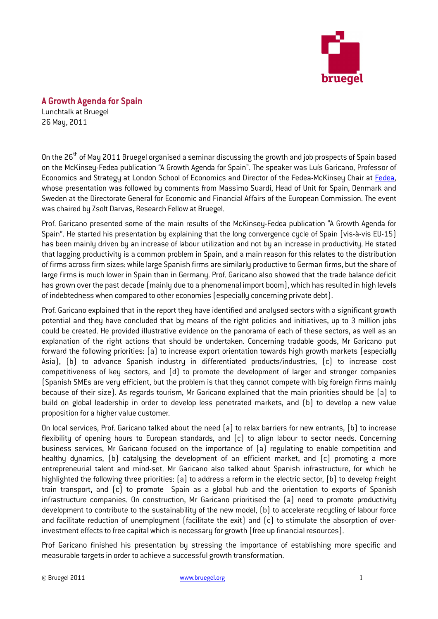

## A Growth Agenda for Spain

Lunchtalk at Bruegel 26 May, 2011

On the 26<sup>th</sup> of May 2011 Bruegel organised a seminar discussing the growth and job prospects of Spain based on the McKinsey-Fedea publication "A Growth Agenda for Spain". The speaker was Luís Garicano, Professor of Economics and Strategy at London School of Economics and Director of the Fedea-McKinsey Chair at Fedea, whose presentation was followed by comments from Massimo Suardi, Head of Unit for Spain, Denmark and Sweden at the Directorate General for Economic and Financial Affairs of the European Commission. The event was chaired by Zsolt Darvas, Research Fellow at Bruegel.

Prof. Garicano presented some of the main results of the McKinsey-Fedea publication "A Growth Agenda for Spain". He started his presentation by explaining that the long convergence cycle of Spain (vis-à-vis EU-15) has been mainly driven by an increase of labour utilization and not by an increase in productivity. He stated that lagging productivity is a common problem in Spain, and a main reason for this relates to the distribution of firms across firm sizes: while large Spanish firms are similarly productive to German firms, but the share of large firms is much lower in Spain than in Germany. Prof. Garicano also showed that the trade balance deficit has grown over the past decade (mainly due to a phenomenal import boom), which has resulted in high levels of indebtedness when compared to other economies (especially concerning private debt).

Prof. Garicano explained that in the report they have identified and analysed sectors with a significant growth potential and they have concluded that by means of the right policies and initiatives, up to 3 million jobs could be created. He provided illustrative evidence on the panorama of each of these sectors, as well as an explanation of the right actions that should be undertaken. Concerning tradable goods, Mr Garicano put forward the following priorities: (a) to increase export orientation towards high growth markets (especially Asia), (b) to advance Spanish industry in differentiated products/industries, (c) to increase cost competitiveness of key sectors, and (d) to promote the development of larger and stronger companies (Spanish SMEs are very efficient, but the problem is that they cannot compete with big foreign firms mainly because of their size). As regards tourism, Mr Garicano explained that the main priorities should be (a) to build on global leadership in order to develop less penetrated markets, and (b) to develop a new value proposition for a higher value customer.

On local services, Prof. Garicano talked about the need (a) to relax barriers for new entrants, (b) to increase flexibility of opening hours to European standards, and (c) to align labour to sector needs. Concerning business services, Mr Garicano focused on the importance of (a) regulating to enable competition and healthy dynamics, (b) catalysing the development of an efficient market, and (c) promoting a more entrepreneurial talent and mind-set. Mr Garicano also talked about Spanish infrastructure, for which he highlighted the following three priorities: (a) to address a reform in the electric sector, (b) to develop freight train transport, and (c) to promote Spain as a global hub and the orientation to exports of Spanish infrastructure companies. On construction, Mr Garicano prioritised the (a) need to promote productivity development to contribute to the sustainability of the new model, (b) to accelerate recycling of labour force and facilitate reduction of unemployment (facilitate the exit) and (c) to stimulate the absorption of overinvestment effects to free capital which is necessary for growth (free up financial resources).

Prof Garicano finished his presentation by stressing the importance of establishing more specific and measurable targets in order to achieve a successful growth transformation.